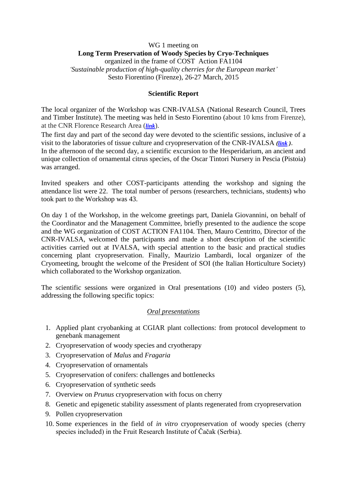## WG 1 meeting on **Long Term Preservation of Woody Species by Cryo-Techniques** organized in the frame of COST Action FA1104 *'Sustainable production of high-quality cherries for the European market'* Sesto Fiorentino (Firenze), 26-27 March, 2015

### **Scientific Report**

The local organizer of the Workshop was CNR-IVALSA (National Research Council, Trees and Timber Institute). The meeting was held in Sesto Fiorentino (about 10 kms from Firenze), at the CNR Florence Research Area (*[link](http://www.fi.cnr.it/english/)*).

The first day and part of the second day were devoted to the scientific sessions, inclusive of a visit to the laboratories of tissue culture and cryopreservation of the CNR-IVALSA *[\(link](http://www.ivalsa.cnr.it/en.html) )*. In the afternoon of the second day, a scientific excursion to the Hesperidarium, an ancient and unique collection of ornamental citrus species, of the Oscar Tintori Nursery in Pescia (Pistoia) was arranged.

Invited speakers and other COST-participants attending the workshop and signing the attendance list were 22. The total number of persons (researchers, technicians, students) who took part to the Workshop was 43.

On day 1 of the Workshop, in the welcome greetings part, Daniela Giovannini, on behalf of the Coordinator and the Management Committee, briefly presented to the audience the scope and the WG organization of COST ACTION FA1104. Then, Mauro Centritto, Director of the CNR-IVALSA, welcomed the participants and made a short description of the scientific activities carried out at IVALSA, with special attention to the basic and practical studies concerning plant cryopreservation. Finally, Maurizio Lambardi, local organizer of the Cryomeeting, brought the welcome of the President of SOI (the Italian Horticulture Society) which collaborated to the Workshop organization.

The scientific sessions were organized in Oral presentations (10) and video posters (5), addressing the following specific topics:

# *Oral presentations*

- 1. Applied plant cryobanking at CGIAR plant collections: from protocol development to genebank management
- 2. Cryopreservation of woody species and cryotherapy
- 3. Cryopreservation of *Malus* and *Fragaria*
- 4. Cryopreservation of ornamentals
- 5. Cryopreservation of conifers: challenges and bottlenecks
- 6. Cryopreservation of synthetic seeds
- 7. Overview on *Prunus* cryopreservation with focus on cherry
- 8. Genetic and epigenetic stability assessment of plants regenerated from cryopreservation
- 9. Pollen cryopreservation
- 10. Some experiences in the field of *in vitro* cryopreservation of woody species (cherry species included) in the Fruit Research Institute of Čačak (Serbia).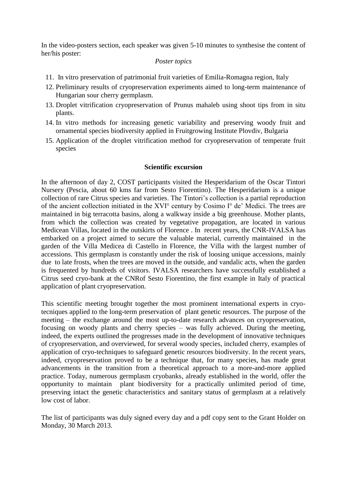In the video-posters section, each speaker was given 5-10 minutes to synthesise the content of her/his poster:

#### *Poster topics*

- 11. In vitro preservation of patrimonial fruit varieties of Emilia-Romagna region, Italy
- 12. Preliminary results of cryopreservation experiments aimed to long-term maintenance of Hungarian sour cherry germplasm.
- 13. Droplet vitrification cryopreservation of Prunus mahaleb using shoot tips from in situ plants.
- 14. In vitro methods for increasing genetic variability and preserving woody fruit and ornamental species biodiversity applied in Fruitgrowing Institute Plovdiv, Bulgaria
- 15. Application of the droplet vitrification method for cryopreservation of temperate fruit species

#### **Scientific excursion**

In the afternoon of day 2, COST participants visited the Hesperidarium of the Oscar Tintori Nursery (Pescia, about 60 kms far from Sesto Fiorentino). The Hesperidarium is a unique collection of rare Citrus species and varieties. The Tintori's collection is a partial reproduction of the ancient collection initiated in the XVI° century by Cosimo I° de' Medici. The trees are maintained in big terracotta basins, along a walkway inside a big greenhouse. Mother plants, from which the collection was created by vegetative propagation, are located in various Medicean Villas, located in the outskirts of Florence . In recent years, the CNR-IVALSA has embarked on a project aimed to secure the valuable material, currently maintained in the garden of the Villa Medicea di Castello in Florence, the Villa with the largest number of accessions. This germplasm is constantly under the risk of loosing unique accessions, mainly due to late frosts, when the trees are moved in the outside, and vandalic acts, when the garden is frequented by hundreds of visitors. IVALSA researchers have successfully established a Citrus seed cryo-bank at the CNRof Sesto Fiorentino, the first example in Italy of practical application of plant cryopreservation.

This scientific meeting brought together the most prominent international experts in cryotecniques applied to the long-term preservation of plant genetic resources. The purpose of the meeting – the exchange around the most up-to-date research advances on cryopreservation, focusing on woody plants and cherry species – was fully achieved. During the meeting, indeed, the experts outlined the progresses made in the development of innovative techniques of cryopreservation, and overviewed, for several woody species, included cherry, examples of application of cryo-techniques to safeguard genetic resources biodiversity. In the recent years, indeed, cryopreservation proved to be a technique that, for many species, has made great advancements in the transition from a theoretical approach to a more-and-more applied practice. Today, numerous germplasm cryobanks, already established in the world, offer the opportunity to maintain plant biodiversity for a practically unlimited period of time, preserving intact the genetic characteristics and sanitary status of germplasm at a relatively low cost of labor.

The list of participants was duly signed every day and a pdf copy sent to the Grant Holder on Monday, 30 March 2013.